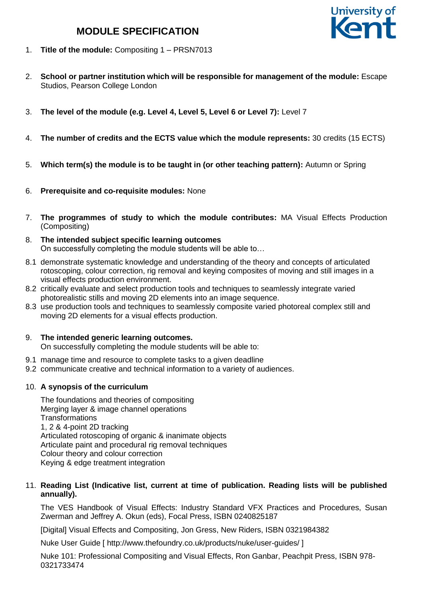# **MODULE SPECIFICATION**



- 1. **Title of the module:** Compositing 1 PRSN7013
- 2. **School or partner institution which will be responsible for management of the module:** Escape Studios, Pearson College London
- 3. **The level of the module (e.g. Level 4, Level 5, Level 6 or Level 7):** Level 7
- 4. **The number of credits and the ECTS value which the module represents:** 30 credits (15 ECTS)
- 5. **Which term(s) the module is to be taught in (or other teaching pattern):** Autumn or Spring
- 6. **Prerequisite and co-requisite modules:** None
- 7. **The programmes of study to which the module contributes:** MA Visual Effects Production (Compositing)
- 8. **The intended subject specific learning outcomes** On successfully completing the module students will be able to…
- 8.1 demonstrate systematic knowledge and understanding of the theory and concepts of articulated rotoscoping, colour correction, rig removal and keying composites of moving and still images in a visual effects production environment.
- 8.2 critically evaluate and select production tools and techniques to seamlessly integrate varied photorealistic stills and moving 2D elements into an image sequence.
- 8.3 use production tools and techniques to seamlessly composite varied photoreal complex still and moving 2D elements for a visual effects production.

# 9. **The intended generic learning outcomes.**

On successfully completing the module students will be able to:

- 9.1 manage time and resource to complete tasks to a given deadline
- 9.2 communicate creative and technical information to a variety of audiences.

# 10. **A synopsis of the curriculum**

The foundations and theories of compositing Merging layer & image channel operations **Transformations** 1, 2 & 4-point 2D tracking Articulated rotoscoping of organic & inanimate objects Articulate paint and procedural rig removal techniques Colour theory and colour correction Keying & edge treatment integration

## 11. **Reading List (Indicative list, current at time of publication. Reading lists will be published annually).**

The VES Handbook of Visual Effects: Industry Standard VFX Practices and Procedures, Susan Zwerman and Jeffrey A. Okun (eds), Focal Press, ISBN 0240825187

[Digital] Visual Effects and Compositing, Jon Gress, New Riders, ISBN 0321984382

Nuke User Guide [ http://www.thefoundry.co.uk/products/nuke/user-guides/ ]

Nuke 101: Professional Compositing and Visual Effects, Ron Ganbar, Peachpit Press, ISBN 978- 0321733474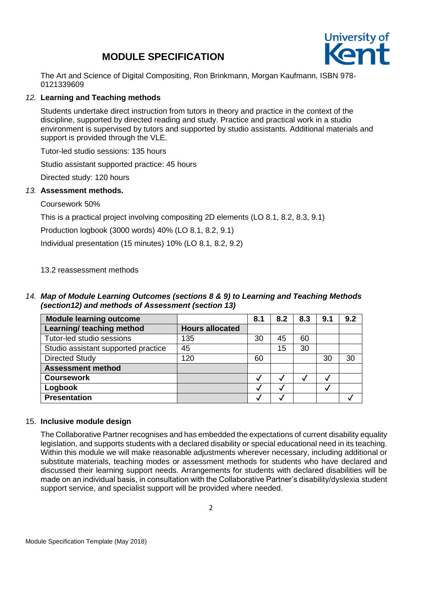# **MODULE SPECIFICATION**



The Art and Science of Digital Compositing, Ron Brinkmann, Morgan Kaufmann, ISBN 978- 0121339609

## *12.* **Learning and Teaching methods**

Students undertake direct instruction from tutors in theory and practice in the context of the discipline, supported by directed reading and study. Practice and practical work in a studio environment is supervised by tutors and supported by studio assistants. Additional materials and support is provided through the VLE.

Tutor-led studio sessions: 135 hours

Studio assistant supported practice: 45 hours

Directed study: 120 hours

## *13.* **Assessment methods.**

Coursework 50%

This is a practical project involving compositing 2D elements (LO 8.1, 8.2, 8.3, 9.1)

Production logbook (3000 words) 40% (LO 8.1, 8.2, 9.1)

Individual presentation (15 minutes) 10% (LO 8.1, 8.2, 9.2)

## 13.2 reassessment methods

## *14. Map of Module Learning Outcomes (sections 8 & 9) to Learning and Teaching Methods (section12) and methods of Assessment (section 13)*

| <b>Module learning outcome</b>      |                        | 8.1 | 8.2 | 8.3 | 9.1 | 9.2 |
|-------------------------------------|------------------------|-----|-----|-----|-----|-----|
| Learning/ teaching method           | <b>Hours allocated</b> |     |     |     |     |     |
| Tutor-led studio sessions           | 135                    | 30  | 45  | 60  |     |     |
| Studio assistant supported practice | 45                     |     | 15  | 30  |     |     |
| <b>Directed Study</b>               | 120                    | 60  |     |     | 30  | 30  |
| <b>Assessment method</b>            |                        |     |     |     |     |     |
| <b>Coursework</b>                   |                        |     |     |     |     |     |
| Logbook                             |                        |     |     |     |     |     |
| <b>Presentation</b>                 |                        |     |     |     |     |     |

#### 15. **Inclusive module design**

The Collaborative Partner recognises and has embedded the expectations of current disability equality legislation, and supports students with a declared disability or special educational need in its teaching. Within this module we will make reasonable adjustments wherever necessary, including additional or substitute materials, teaching modes or assessment methods for students who have declared and discussed their learning support needs. Arrangements for students with declared disabilities will be made on an individual basis, in consultation with the Collaborative Partner's disability/dyslexia student support service, and specialist support will be provided where needed.